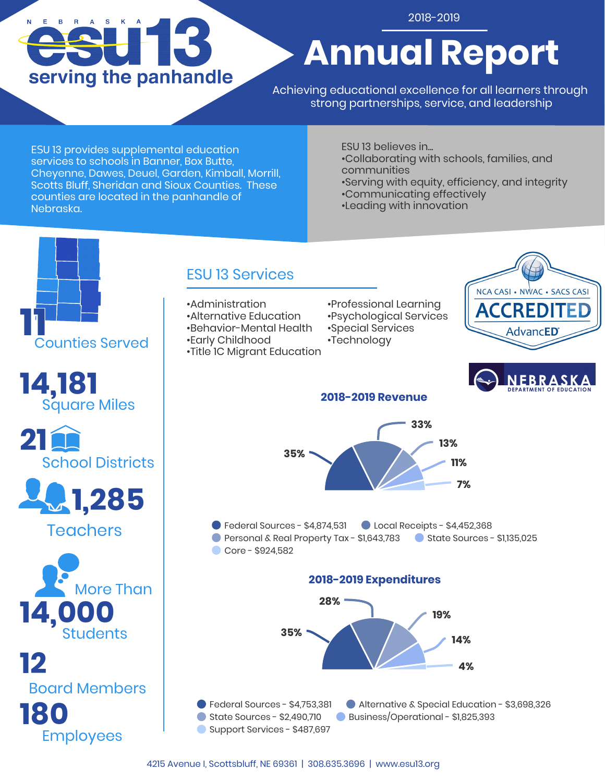# $E$ B R A S serving the panhandle

### 2018-2019

# **Annual Report**

Achieving educational excellence for all learners through strong partnerships, service, and leadership

ESU 13 provides supplemental education services to schools in Banner, Box Butte, Cheyenne, Dawes, Deuel, Garden, Kimball, Morrill, Scotts Bluff, Sheridan and Sioux Counties. These counties are located in the panhandle of Nebraska.

ESU 13 believes in... •Collaborating with schools, families, and communities

•Serving with equity, efficiency, and integrity •Communicating effectively

•Leading with innovation